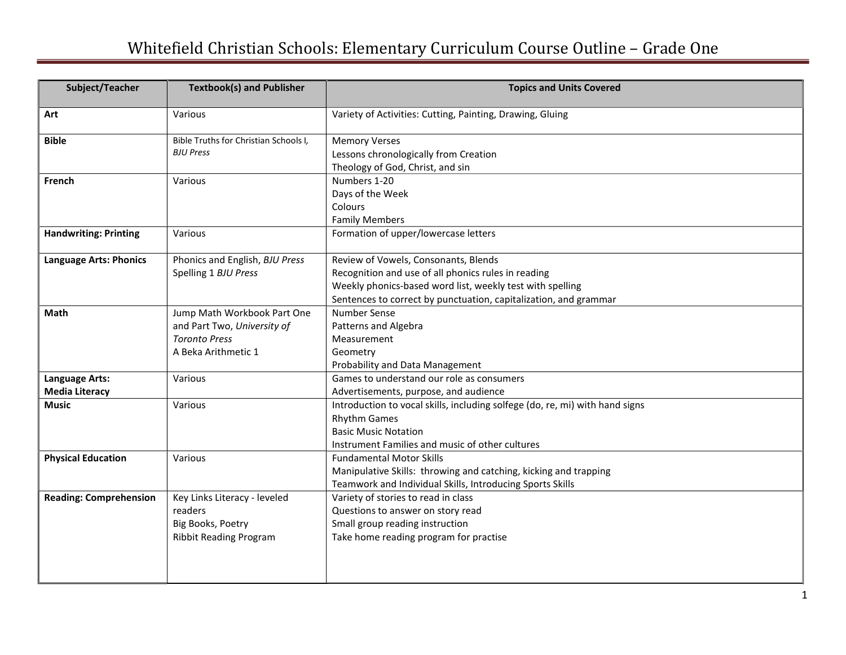## Whitefield Christian Schools: Elementary Curriculum Course Outline – Grade One

| Subject/Teacher                         | <b>Textbook(s) and Publisher</b>                                                                          | <b>Topics and Units Covered</b>                                                                                                                                                                                              |
|-----------------------------------------|-----------------------------------------------------------------------------------------------------------|------------------------------------------------------------------------------------------------------------------------------------------------------------------------------------------------------------------------------|
| Art                                     | Various                                                                                                   | Variety of Activities: Cutting, Painting, Drawing, Gluing                                                                                                                                                                    |
| <b>Bible</b>                            | Bible Truths for Christian Schools I,<br><b>BJU Press</b>                                                 | <b>Memory Verses</b><br>Lessons chronologically from Creation<br>Theology of God, Christ, and sin                                                                                                                            |
| French                                  | Various                                                                                                   | Numbers 1-20<br>Days of the Week<br>Colours<br><b>Family Members</b>                                                                                                                                                         |
| <b>Handwriting: Printing</b>            | Various                                                                                                   | Formation of upper/lowercase letters                                                                                                                                                                                         |
| <b>Language Arts: Phonics</b>           | Phonics and English, BJU Press<br>Spelling 1 BJU Press                                                    | Review of Vowels, Consonants, Blends<br>Recognition and use of all phonics rules in reading<br>Weekly phonics-based word list, weekly test with spelling<br>Sentences to correct by punctuation, capitalization, and grammar |
| <b>Math</b>                             | Jump Math Workbook Part One<br>and Part Two, University of<br><b>Toronto Press</b><br>A Beka Arithmetic 1 | Number Sense<br>Patterns and Algebra<br>Measurement<br>Geometry<br>Probability and Data Management                                                                                                                           |
| Language Arts:<br><b>Media Literacy</b> | Various                                                                                                   | Games to understand our role as consumers<br>Advertisements, purpose, and audience                                                                                                                                           |
| Music                                   | Various                                                                                                   | Introduction to vocal skills, including solfege (do, re, mi) with hand signs<br><b>Rhythm Games</b><br><b>Basic Music Notation</b><br>Instrument Families and music of other cultures                                        |
| <b>Physical Education</b>               | Various                                                                                                   | <b>Fundamental Motor Skills</b><br>Manipulative Skills: throwing and catching, kicking and trapping<br>Teamwork and Individual Skills, Introducing Sports Skills                                                             |
| <b>Reading: Comprehension</b>           | Key Links Literacy - leveled<br>readers<br>Big Books, Poetry<br><b>Ribbit Reading Program</b>             | Variety of stories to read in class<br>Questions to answer on story read<br>Small group reading instruction<br>Take home reading program for practise                                                                        |